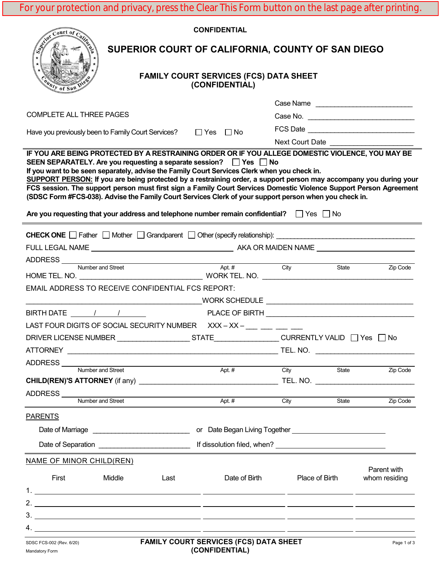For your protection and privacy, press the Clear This Form button on the last page after printing.

| Court of California                                                                                                                                                                                                                                                                                                                                                                                                                                                                                                                                                                                                                      | <b>CONFIDENTIAL</b> |                                                    |       |                              |  |  |
|------------------------------------------------------------------------------------------------------------------------------------------------------------------------------------------------------------------------------------------------------------------------------------------------------------------------------------------------------------------------------------------------------------------------------------------------------------------------------------------------------------------------------------------------------------------------------------------------------------------------------------------|---------------------|----------------------------------------------------|-------|------------------------------|--|--|
| SUPERIOR COURT OF CALIFORNIA, COUNTY OF SAN DIEGO                                                                                                                                                                                                                                                                                                                                                                                                                                                                                                                                                                                        |                     |                                                    |       |                              |  |  |
| <b>FAMILY COURT SERVICES (FCS) DATA SHEET</b><br>(CONFIDENTIAL)<br>nty of San                                                                                                                                                                                                                                                                                                                                                                                                                                                                                                                                                            |                     |                                                    |       |                              |  |  |
|                                                                                                                                                                                                                                                                                                                                                                                                                                                                                                                                                                                                                                          |                     |                                                    |       | Case Name                    |  |  |
| COMPLETE ALL THREE PAGES                                                                                                                                                                                                                                                                                                                                                                                                                                                                                                                                                                                                                 |                     |                                                    |       |                              |  |  |
| Have you previously been to Family Court Services? $\Box$ Yes $\Box$ No                                                                                                                                                                                                                                                                                                                                                                                                                                                                                                                                                                  |                     |                                                    |       |                              |  |  |
| IF YOU ARE BEING PROTECTED BY A RESTRAINING ORDER OR IF YOU ALLEGE DOMESTIC VIOLENCE, YOU MAY BE                                                                                                                                                                                                                                                                                                                                                                                                                                                                                                                                         |                     |                                                    |       | Next Court Date              |  |  |
| SEEN SEPARATELY. Are you requesting a separate session? $\Box$ Yes $\Box$ No<br>If you want to be seen separately, advise the Family Court Services Clerk when you check in.<br>SUPPORT PERSON: If you are being protected by a restraining order, a support person may accompany you during your<br>FCS session. The support person must first sign a Family Court Services Domestic Violence Support Person Agreement<br>(SDSC Form #FCS-038). Advise the Family Court Services Clerk of your support person when you check in.<br>Are you requesting that your address and telephone number remain confidential? $\Box$ Yes $\Box$ No |                     |                                                    |       |                              |  |  |
|                                                                                                                                                                                                                                                                                                                                                                                                                                                                                                                                                                                                                                          |                     |                                                    |       |                              |  |  |
|                                                                                                                                                                                                                                                                                                                                                                                                                                                                                                                                                                                                                                          |                     |                                                    |       |                              |  |  |
| ADDRESS<br>Number and Street<br>Apt. # City                                                                                                                                                                                                                                                                                                                                                                                                                                                                                                                                                                                              |                     |                                                    |       |                              |  |  |
|                                                                                                                                                                                                                                                                                                                                                                                                                                                                                                                                                                                                                                          |                     |                                                    |       | State State<br>Zip Code      |  |  |
| <b>EMAIL ADDRESS TO RECEIVE CONFIDENTIAL FCS REPORT:</b>                                                                                                                                                                                                                                                                                                                                                                                                                                                                                                                                                                                 |                     |                                                    |       |                              |  |  |
|                                                                                                                                                                                                                                                                                                                                                                                                                                                                                                                                                                                                                                          |                     |                                                    |       |                              |  |  |
|                                                                                                                                                                                                                                                                                                                                                                                                                                                                                                                                                                                                                                          |                     |                                                    |       |                              |  |  |
| LAST FOUR DIGITS OF SOCIAL SECURITY NUMBER XXX-XX-__ __ __ __ __                                                                                                                                                                                                                                                                                                                                                                                                                                                                                                                                                                         |                     |                                                    |       |                              |  |  |
| DRIVER LICENSE NUMBER                                                                                                                                                                                                                                                                                                                                                                                                                                                                                                                                                                                                                    |                     | STATE___________________CURRENTLY VALID □ Yes □ No |       |                              |  |  |
|                                                                                                                                                                                                                                                                                                                                                                                                                                                                                                                                                                                                                                          |                     |                                                    |       | TEL. NO.                     |  |  |
| ADDRESS<br>Number and Street                                                                                                                                                                                                                                                                                                                                                                                                                                                                                                                                                                                                             | Apt. $#$            | City                                               | State | Zip Code                     |  |  |
|                                                                                                                                                                                                                                                                                                                                                                                                                                                                                                                                                                                                                                          |                     |                                                    |       |                              |  |  |
| <u> 1980 - Johann Barn, mars ann an t-Amhain Aonaich an t-Aonaich an t-Aonaich ann an t-Aonaich ann an t-Aonaich</u>                                                                                                                                                                                                                                                                                                                                                                                                                                                                                                                     |                     |                                                    |       |                              |  |  |
| Number and Street                                                                                                                                                                                                                                                                                                                                                                                                                                                                                                                                                                                                                        | Apt. $#$            | City                                               | State | Zip Code                     |  |  |
| <b>PARENTS</b>                                                                                                                                                                                                                                                                                                                                                                                                                                                                                                                                                                                                                           |                     |                                                    |       |                              |  |  |
| or Date Began Living Together <b>Constant Constant Constant Constant Constant Constant Constant Constant Constant</b>                                                                                                                                                                                                                                                                                                                                                                                                                                                                                                                    |                     |                                                    |       |                              |  |  |
|                                                                                                                                                                                                                                                                                                                                                                                                                                                                                                                                                                                                                                          |                     |                                                    |       |                              |  |  |
| <b>NAME OF MINOR CHILD(REN)</b>                                                                                                                                                                                                                                                                                                                                                                                                                                                                                                                                                                                                          |                     |                                                    |       |                              |  |  |
| First<br>Middle<br>Last                                                                                                                                                                                                                                                                                                                                                                                                                                                                                                                                                                                                                  | Date of Birth       | Place of Birth                                     |       | Parent with<br>whom residing |  |  |
|                                                                                                                                                                                                                                                                                                                                                                                                                                                                                                                                                                                                                                          |                     |                                                    |       |                              |  |  |
|                                                                                                                                                                                                                                                                                                                                                                                                                                                                                                                                                                                                                                          |                     |                                                    |       |                              |  |  |
|                                                                                                                                                                                                                                                                                                                                                                                                                                                                                                                                                                                                                                          |                     |                                                    |       |                              |  |  |
| <b>FAMILY COUPT SEDVICES (FCS) BATA SUFFT</b>                                                                                                                                                                                                                                                                                                                                                                                                                                                                                                                                                                                            |                     |                                                    |       |                              |  |  |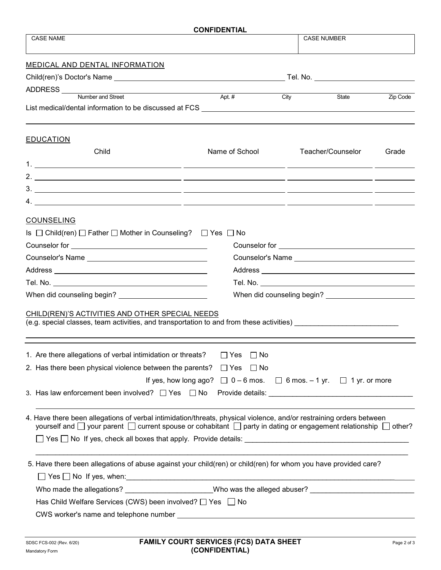| <b>CASE NAME</b><br><b>CASE NUMBER</b><br>ADDRESS <u>Number</u> and Street<br>Apt. #<br>State<br>Zip Code<br>City<br>List medical/dental information to be discussed at FCS __________________________<br>Child<br>Name of School<br>Teacher/Counselor<br>Grade<br><b>COUNSELING</b><br>Is $\Box$ Child(ren) $\Box$ Father $\Box$ Mother in Counseling? $\Box$ Yes $\Box$ No<br>Counselor for example and the counselor for the contract of the counselor for<br>Counselor for <u>example and the set of the set of the set of the set of the set of the set of the set of the set of the set of the set of the set of the set of the set of the set of the set of the set of the set of the set </u><br>CHILD(REN)'S ACTIVITIES AND OTHER SPECIAL NEEDS<br>$\Box$ No<br>$\Box$ Yes<br>$\Box$ Yes<br>$\Box$ No<br>If yes, how long ago? $\Box$ 0 – 6 mos. $\Box$ 6 mos. – 1 yr. $\Box$ 1 yr. or more<br>4. Have there been allegations of verbal intimidation/threats, physical violence, and/or restraining orders between<br>yourself and $\Box$ your parent $\Box$ current spouse or cohabitant $\Box$ party in dating or engagement relationship $\Box$ other?<br>5. Have there been allegations of abuse against your child(ren) or child(ren) for whom you have provided care?<br>Who made the allegations? _____________________Who was the alleged abuser? ___________________________________<br>Has Child Welfare Services (CWS) been involved? □ Yes □ No | <b>CONFIDENTIAL</b>                                                                      |  |  |  |  |  |  |
|----------------------------------------------------------------------------------------------------------------------------------------------------------------------------------------------------------------------------------------------------------------------------------------------------------------------------------------------------------------------------------------------------------------------------------------------------------------------------------------------------------------------------------------------------------------------------------------------------------------------------------------------------------------------------------------------------------------------------------------------------------------------------------------------------------------------------------------------------------------------------------------------------------------------------------------------------------------------------------------------------------------------------------------------------------------------------------------------------------------------------------------------------------------------------------------------------------------------------------------------------------------------------------------------------------------------------------------------------------------------------------------------------------------------------------------------------------------------|------------------------------------------------------------------------------------------|--|--|--|--|--|--|
| Child(ren)'s Doctor's Name                          Tel. No. ___________________                                                                                                                                                                                                                                                                                                                                                                                                                                                                                                                                                                                                                                                                                                                                                                                                                                                                                                                                                                                                                                                                                                                                                                                                                                                                                                                                                                                     |                                                                                          |  |  |  |  |  |  |
|                                                                                                                                                                                                                                                                                                                                                                                                                                                                                                                                                                                                                                                                                                                                                                                                                                                                                                                                                                                                                                                                                                                                                                                                                                                                                                                                                                                                                                                                      |                                                                                          |  |  |  |  |  |  |
|                                                                                                                                                                                                                                                                                                                                                                                                                                                                                                                                                                                                                                                                                                                                                                                                                                                                                                                                                                                                                                                                                                                                                                                                                                                                                                                                                                                                                                                                      | MEDICAL AND DENTAL INFORMATION                                                           |  |  |  |  |  |  |
|                                                                                                                                                                                                                                                                                                                                                                                                                                                                                                                                                                                                                                                                                                                                                                                                                                                                                                                                                                                                                                                                                                                                                                                                                                                                                                                                                                                                                                                                      |                                                                                          |  |  |  |  |  |  |
|                                                                                                                                                                                                                                                                                                                                                                                                                                                                                                                                                                                                                                                                                                                                                                                                                                                                                                                                                                                                                                                                                                                                                                                                                                                                                                                                                                                                                                                                      |                                                                                          |  |  |  |  |  |  |
|                                                                                                                                                                                                                                                                                                                                                                                                                                                                                                                                                                                                                                                                                                                                                                                                                                                                                                                                                                                                                                                                                                                                                                                                                                                                                                                                                                                                                                                                      |                                                                                          |  |  |  |  |  |  |
|                                                                                                                                                                                                                                                                                                                                                                                                                                                                                                                                                                                                                                                                                                                                                                                                                                                                                                                                                                                                                                                                                                                                                                                                                                                                                                                                                                                                                                                                      | <b>EDUCATION</b>                                                                         |  |  |  |  |  |  |
|                                                                                                                                                                                                                                                                                                                                                                                                                                                                                                                                                                                                                                                                                                                                                                                                                                                                                                                                                                                                                                                                                                                                                                                                                                                                                                                                                                                                                                                                      |                                                                                          |  |  |  |  |  |  |
|                                                                                                                                                                                                                                                                                                                                                                                                                                                                                                                                                                                                                                                                                                                                                                                                                                                                                                                                                                                                                                                                                                                                                                                                                                                                                                                                                                                                                                                                      |                                                                                          |  |  |  |  |  |  |
|                                                                                                                                                                                                                                                                                                                                                                                                                                                                                                                                                                                                                                                                                                                                                                                                                                                                                                                                                                                                                                                                                                                                                                                                                                                                                                                                                                                                                                                                      |                                                                                          |  |  |  |  |  |  |
|                                                                                                                                                                                                                                                                                                                                                                                                                                                                                                                                                                                                                                                                                                                                                                                                                                                                                                                                                                                                                                                                                                                                                                                                                                                                                                                                                                                                                                                                      |                                                                                          |  |  |  |  |  |  |
|                                                                                                                                                                                                                                                                                                                                                                                                                                                                                                                                                                                                                                                                                                                                                                                                                                                                                                                                                                                                                                                                                                                                                                                                                                                                                                                                                                                                                                                                      |                                                                                          |  |  |  |  |  |  |
|                                                                                                                                                                                                                                                                                                                                                                                                                                                                                                                                                                                                                                                                                                                                                                                                                                                                                                                                                                                                                                                                                                                                                                                                                                                                                                                                                                                                                                                                      |                                                                                          |  |  |  |  |  |  |
|                                                                                                                                                                                                                                                                                                                                                                                                                                                                                                                                                                                                                                                                                                                                                                                                                                                                                                                                                                                                                                                                                                                                                                                                                                                                                                                                                                                                                                                                      |                                                                                          |  |  |  |  |  |  |
|                                                                                                                                                                                                                                                                                                                                                                                                                                                                                                                                                                                                                                                                                                                                                                                                                                                                                                                                                                                                                                                                                                                                                                                                                                                                                                                                                                                                                                                                      |                                                                                          |  |  |  |  |  |  |
|                                                                                                                                                                                                                                                                                                                                                                                                                                                                                                                                                                                                                                                                                                                                                                                                                                                                                                                                                                                                                                                                                                                                                                                                                                                                                                                                                                                                                                                                      |                                                                                          |  |  |  |  |  |  |
|                                                                                                                                                                                                                                                                                                                                                                                                                                                                                                                                                                                                                                                                                                                                                                                                                                                                                                                                                                                                                                                                                                                                                                                                                                                                                                                                                                                                                                                                      |                                                                                          |  |  |  |  |  |  |
|                                                                                                                                                                                                                                                                                                                                                                                                                                                                                                                                                                                                                                                                                                                                                                                                                                                                                                                                                                                                                                                                                                                                                                                                                                                                                                                                                                                                                                                                      |                                                                                          |  |  |  |  |  |  |
|                                                                                                                                                                                                                                                                                                                                                                                                                                                                                                                                                                                                                                                                                                                                                                                                                                                                                                                                                                                                                                                                                                                                                                                                                                                                                                                                                                                                                                                                      |                                                                                          |  |  |  |  |  |  |
|                                                                                                                                                                                                                                                                                                                                                                                                                                                                                                                                                                                                                                                                                                                                                                                                                                                                                                                                                                                                                                                                                                                                                                                                                                                                                                                                                                                                                                                                      |                                                                                          |  |  |  |  |  |  |
|                                                                                                                                                                                                                                                                                                                                                                                                                                                                                                                                                                                                                                                                                                                                                                                                                                                                                                                                                                                                                                                                                                                                                                                                                                                                                                                                                                                                                                                                      |                                                                                          |  |  |  |  |  |  |
|                                                                                                                                                                                                                                                                                                                                                                                                                                                                                                                                                                                                                                                                                                                                                                                                                                                                                                                                                                                                                                                                                                                                                                                                                                                                                                                                                                                                                                                                      | (e.g. special classes, team activities, and transportation to and from these activities) |  |  |  |  |  |  |
|                                                                                                                                                                                                                                                                                                                                                                                                                                                                                                                                                                                                                                                                                                                                                                                                                                                                                                                                                                                                                                                                                                                                                                                                                                                                                                                                                                                                                                                                      |                                                                                          |  |  |  |  |  |  |
|                                                                                                                                                                                                                                                                                                                                                                                                                                                                                                                                                                                                                                                                                                                                                                                                                                                                                                                                                                                                                                                                                                                                                                                                                                                                                                                                                                                                                                                                      | 1. Are there allegations of verbal intimidation or threats?                              |  |  |  |  |  |  |
|                                                                                                                                                                                                                                                                                                                                                                                                                                                                                                                                                                                                                                                                                                                                                                                                                                                                                                                                                                                                                                                                                                                                                                                                                                                                                                                                                                                                                                                                      | 2. Has there been physical violence between the parents?                                 |  |  |  |  |  |  |
|                                                                                                                                                                                                                                                                                                                                                                                                                                                                                                                                                                                                                                                                                                                                                                                                                                                                                                                                                                                                                                                                                                                                                                                                                                                                                                                                                                                                                                                                      |                                                                                          |  |  |  |  |  |  |
|                                                                                                                                                                                                                                                                                                                                                                                                                                                                                                                                                                                                                                                                                                                                                                                                                                                                                                                                                                                                                                                                                                                                                                                                                                                                                                                                                                                                                                                                      | 3. Has law enforcement been involved? $\Box$ Yes $\Box$ No                               |  |  |  |  |  |  |
|                                                                                                                                                                                                                                                                                                                                                                                                                                                                                                                                                                                                                                                                                                                                                                                                                                                                                                                                                                                                                                                                                                                                                                                                                                                                                                                                                                                                                                                                      |                                                                                          |  |  |  |  |  |  |
|                                                                                                                                                                                                                                                                                                                                                                                                                                                                                                                                                                                                                                                                                                                                                                                                                                                                                                                                                                                                                                                                                                                                                                                                                                                                                                                                                                                                                                                                      |                                                                                          |  |  |  |  |  |  |
|                                                                                                                                                                                                                                                                                                                                                                                                                                                                                                                                                                                                                                                                                                                                                                                                                                                                                                                                                                                                                                                                                                                                                                                                                                                                                                                                                                                                                                                                      |                                                                                          |  |  |  |  |  |  |
|                                                                                                                                                                                                                                                                                                                                                                                                                                                                                                                                                                                                                                                                                                                                                                                                                                                                                                                                                                                                                                                                                                                                                                                                                                                                                                                                                                                                                                                                      |                                                                                          |  |  |  |  |  |  |
|                                                                                                                                                                                                                                                                                                                                                                                                                                                                                                                                                                                                                                                                                                                                                                                                                                                                                                                                                                                                                                                                                                                                                                                                                                                                                                                                                                                                                                                                      |                                                                                          |  |  |  |  |  |  |
|                                                                                                                                                                                                                                                                                                                                                                                                                                                                                                                                                                                                                                                                                                                                                                                                                                                                                                                                                                                                                                                                                                                                                                                                                                                                                                                                                                                                                                                                      |                                                                                          |  |  |  |  |  |  |
|                                                                                                                                                                                                                                                                                                                                                                                                                                                                                                                                                                                                                                                                                                                                                                                                                                                                                                                                                                                                                                                                                                                                                                                                                                                                                                                                                                                                                                                                      |                                                                                          |  |  |  |  |  |  |
|                                                                                                                                                                                                                                                                                                                                                                                                                                                                                                                                                                                                                                                                                                                                                                                                                                                                                                                                                                                                                                                                                                                                                                                                                                                                                                                                                                                                                                                                      |                                                                                          |  |  |  |  |  |  |
|                                                                                                                                                                                                                                                                                                                                                                                                                                                                                                                                                                                                                                                                                                                                                                                                                                                                                                                                                                                                                                                                                                                                                                                                                                                                                                                                                                                                                                                                      |                                                                                          |  |  |  |  |  |  |
|                                                                                                                                                                                                                                                                                                                                                                                                                                                                                                                                                                                                                                                                                                                                                                                                                                                                                                                                                                                                                                                                                                                                                                                                                                                                                                                                                                                                                                                                      |                                                                                          |  |  |  |  |  |  |